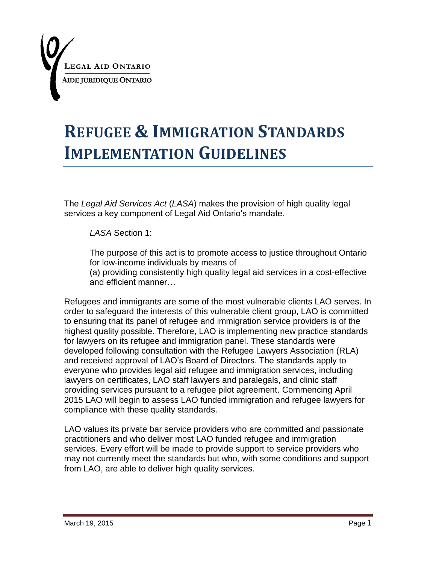

# **REFUGEE & IMMIGRATION STANDARDS IMPLEMENTATION GUIDELINES**

The *Legal Aid Services Act* (*LASA*) makes the provision of high quality legal services a key component of Legal Aid Ontario's mandate.

*LASA* Section 1:

The purpose of this act is to promote access to justice throughout Ontario for low-income individuals by means of

(a) providing consistently high quality legal aid services in a cost-effective and efficient manner…

Refugees and immigrants are some of the most vulnerable clients LAO serves. In order to safeguard the interests of this vulnerable client group, LAO is committed to ensuring that its panel of refugee and immigration service providers is of the highest quality possible. Therefore, LAO is implementing new practice standards for lawyers on its refugee and immigration panel. These standards were developed following consultation with the Refugee Lawyers Association (RLA) and received approval of LAO"s Board of Directors. The standards apply to everyone who provides legal aid refugee and immigration services, including lawyers on certificates, LAO staff lawyers and paralegals, and clinic staff providing services pursuant to a refugee pilot agreement. Commencing April 2015 LAO will begin to assess LAO funded immigration and refugee lawyers for compliance with these quality standards.

LAO values its private bar service providers who are committed and passionate practitioners and who deliver most LAO funded refugee and immigration services. Every effort will be made to provide support to service providers who may not currently meet the standards but who, with some conditions and support from LAO, are able to deliver high quality services.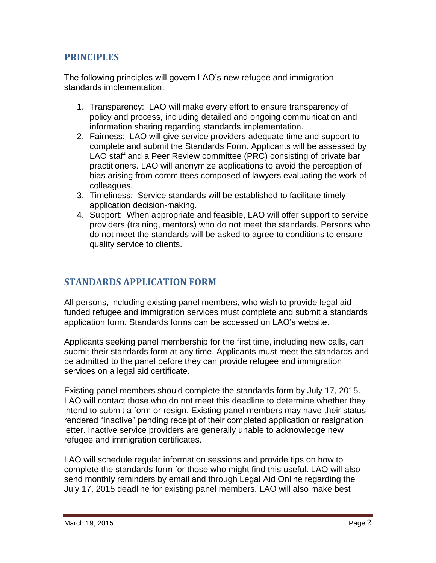# **PRINCIPLES**

The following principles will govern LAO"s new refugee and immigration standards implementation:

- 1. Transparency: LAO will make every effort to ensure transparency of policy and process, including detailed and ongoing communication and information sharing regarding standards implementation.
- 2. Fairness: LAO will give service providers adequate time and support to complete and submit the Standards Form. Applicants will be assessed by LAO staff and a Peer Review committee (PRC) consisting of private bar practitioners. LAO will anonymize applications to avoid the perception of bias arising from committees composed of lawyers evaluating the work of colleagues.
- 3. Timeliness: Service standards will be established to facilitate timely application decision-making.
- 4. Support: When appropriate and feasible, LAO will offer support to service providers (training, mentors) who do not meet the standards. Persons who do not meet the standards will be asked to agree to conditions to ensure quality service to clients.

# **STANDARDS APPLICATION FORM**

All persons, including existing panel members, who wish to provide legal aid funded refugee and immigration services must complete and submit a standards application form. Standards forms can be accessed on LAO"s website.

Applicants seeking panel membership for the first time, including new calls, can submit their standards form at any time. Applicants must meet the standards and be admitted to the panel before they can provide refugee and immigration services on a legal aid certificate.

Existing panel members should complete the standards form by July 17, 2015. LAO will contact those who do not meet this deadline to determine whether they intend to submit a form or resign. Existing panel members may have their status rendered "inactive" pending receipt of their completed application or resignation letter. Inactive service providers are generally unable to acknowledge new refugee and immigration certificates.

LAO will schedule regular information sessions and provide tips on how to complete the standards form for those who might find this useful. LAO will also send monthly reminders by email and through Legal Aid Online regarding the July 17, 2015 deadline for existing panel members. LAO will also make best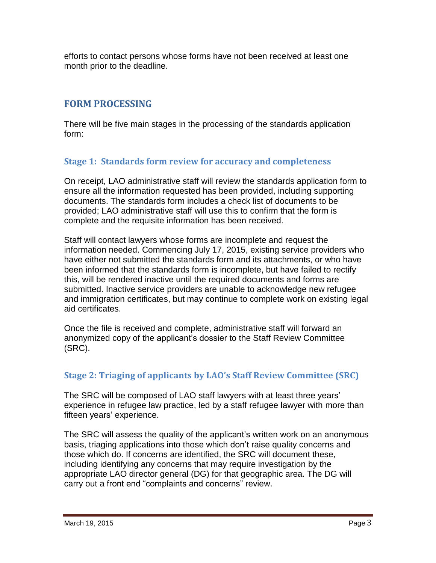efforts to contact persons whose forms have not been received at least one month prior to the deadline.

## **FORM PROCESSING**

There will be five main stages in the processing of the standards application form:

#### **Stage 1: Standards form review for accuracy and completeness**

On receipt, LAO administrative staff will review the standards application form to ensure all the information requested has been provided, including supporting documents. The standards form includes a check list of documents to be provided; LAO administrative staff will use this to confirm that the form is complete and the requisite information has been received.

Staff will contact lawyers whose forms are incomplete and request the information needed. Commencing July 17, 2015, existing service providers who have either not submitted the standards form and its attachments, or who have been informed that the standards form is incomplete, but have failed to rectify this, will be rendered inactive until the required documents and forms are submitted. Inactive service providers are unable to acknowledge new refugee and immigration certificates, but may continue to complete work on existing legal aid certificates.

Once the file is received and complete, administrative staff will forward an anonymized copy of the applicant"s dossier to the Staff Review Committee (SRC).

#### **Stage 2: Triaging of applicants by LAO's Staff Review Committee (SRC)**

The SRC will be composed of LAO staff lawyers with at least three years" experience in refugee law practice, led by a staff refugee lawyer with more than fifteen years' experience.

The SRC will assess the quality of the applicant's written work on an anonymous basis, triaging applications into those which don"t raise quality concerns and those which do. If concerns are identified, the SRC will document these, including identifying any concerns that may require investigation by the appropriate LAO director general (DG) for that geographic area. The DG will carry out a front end "complaints and concerns" review.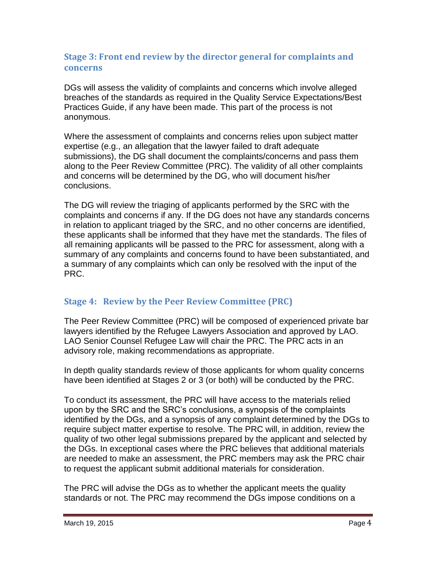#### **Stage 3: Front end review by the director general for complaints and concerns**

DGs will assess the validity of complaints and concerns which involve alleged breaches of the standards as required in the Quality Service Expectations/Best Practices Guide, if any have been made. This part of the process is not anonymous.

Where the assessment of complaints and concerns relies upon subject matter expertise (e.g., an allegation that the lawyer failed to draft adequate submissions), the DG shall document the complaints/concerns and pass them along to the Peer Review Committee (PRC). The validity of all other complaints and concerns will be determined by the DG, who will document his/her conclusions.

The DG will review the triaging of applicants performed by the SRC with the complaints and concerns if any. If the DG does not have any standards concerns in relation to applicant triaged by the SRC, and no other concerns are identified, these applicants shall be informed that they have met the standards. The files of all remaining applicants will be passed to the PRC for assessment, along with a summary of any complaints and concerns found to have been substantiated, and a summary of any complaints which can only be resolved with the input of the PRC.

## **Stage 4: Review by the Peer Review Committee (PRC)**

The Peer Review Committee (PRC) will be composed of experienced private bar lawyers identified by the Refugee Lawyers Association and approved by LAO. LAO Senior Counsel Refugee Law will chair the PRC. The PRC acts in an advisory role, making recommendations as appropriate.

In depth quality standards review of those applicants for whom quality concerns have been identified at Stages 2 or 3 (or both) will be conducted by the PRC.

To conduct its assessment, the PRC will have access to the materials relied upon by the SRC and the SRC"s conclusions, a synopsis of the complaints identified by the DGs, and a synopsis of any complaint determined by the DGs to require subject matter expertise to resolve. The PRC will, in addition, review the quality of two other legal submissions prepared by the applicant and selected by the DGs. In exceptional cases where the PRC believes that additional materials are needed to make an assessment, the PRC members may ask the PRC chair to request the applicant submit additional materials for consideration.

The PRC will advise the DGs as to whether the applicant meets the quality standards or not. The PRC may recommend the DGs impose conditions on a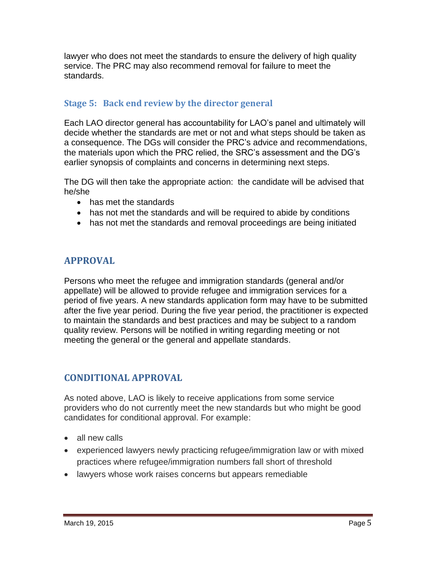lawyer who does not meet the standards to ensure the delivery of high quality service. The PRC may also recommend removal for failure to meet the standards.

### **Stage 5: Back end review by the director general**

Each LAO director general has accountability for LAO"s panel and ultimately will decide whether the standards are met or not and what steps should be taken as a consequence. The DGs will consider the PRC"s advice and recommendations, the materials upon which the PRC relied, the SRC"s assessment and the DG"s earlier synopsis of complaints and concerns in determining next steps.

The DG will then take the appropriate action: the candidate will be advised that he/she

- has met the standards
- has not met the standards and will be required to abide by conditions
- has not met the standards and removal proceedings are being initiated

# **APPROVAL**

Persons who meet the refugee and immigration standards (general and/or appellate) will be allowed to provide refugee and immigration services for a period of five years. A new standards application form may have to be submitted after the five year period. During the five year period, the practitioner is expected to maintain the standards and best practices and may be subject to a random quality review. Persons will be notified in writing regarding meeting or not meeting the general or the general and appellate standards.

# **CONDITIONAL APPROVAL**

As noted above, LAO is likely to receive applications from some service providers who do not currently meet the new standards but who might be good candidates for conditional approval. For example:

- all new calls
- experienced lawyers newly practicing refugee/immigration law or with mixed practices where refugee/immigration numbers fall short of threshold
- lawyers whose work raises concerns but appears remediable